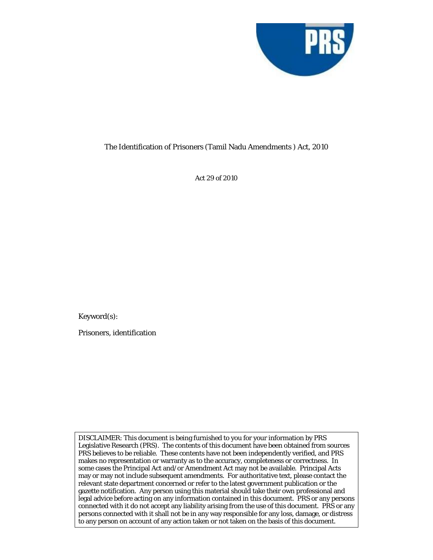

### The Identification of Prisoners (Tamil Nadu Amendments ) Act, 2010

Act 29 of 2010

Keyword(s):

Prisoners, identification

DISCLAIMER: This document is being furnished to you for your information by PRS Legislative Research (PRS). The contents of this document have been obtained from sources PRS believes to be reliable. These contents have not been independently verified, and PRS makes no representation or warranty as to the accuracy, completeness or correctness. In some cases the Principal Act and/or Amendment Act may not be available. Principal Acts may or may not include subsequent amendments. For authoritative text, please contact the relevant state department concerned or refer to the latest government publication or the gazette notification. Any person using this material should take their own professional and legal advice before acting on any information contained in this document. PRS or any persons connected with it do not accept any liability arising from the use of this document. PRS or any persons connected with it shall not be in any way responsible for any loss, damage, or distress to any person on account of any action taken or not taken on the basis of this document.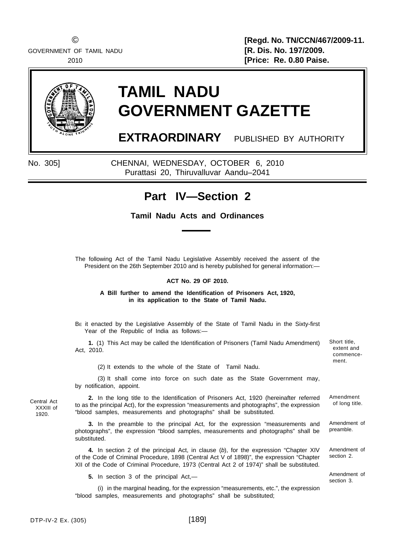GOVERNMENT OF TAMIL NADU **[R. Dis. No. 197/2009.**

© **[Regd. No. TN/CCN/467/2009-11.** 2010 **[Price: Re. 0.80 Paise.**

ment.

Amendment of section 3.



# **TAMIL NADU GOVERNMENT GAZETTE**

**EXTRAORDINARY** PUBLISHED BY AUTHORITY

No. 305] CHENNAI, WEDNESDAY, OCTOBER 6, 2010 Purattasi 20, Thiruvalluvar Aandu–2041

## **Part IV—Section 2**

### **Tamil Nadu Acts and Ordinances**

The following Act of the Tamil Nadu Legislative Assembly received the assent of the President on the 26th September 2010 and is hereby published for general information:—

#### **ACT No. 29 OF 2010.**

**A Bill further to amend the Identification of Prisoners Act, 1920, in its application to the State of Tamil Nadu.**

BE it enacted by the Legislative Assembly of the State of Tamil Nadu in the Sixty-first Year of the Republic of India as follows:-

Short title, extent and commence-**1.** (1) This Act may be called the Identification of Prisoners (Tamil Nadu Amendment) Act, 2010.

(2) It extends to the whole of the State of Tamil Nadu.

(3) It shall come into force on such date as the State Government may, by notification, appoint.

Amendment of long title. **2.** In the long title to the Identification of Prisoners Act, 1920 (hereinafter referred to as the principal Act), for the expression "measurements and photographs", the expression "blood samples, measurements and photographs" shall be substituted.

**3.** In the preamble to the principal Act, for the expression "measurements and photographs", the expression "blood samples, measurements and photographs" shall be substituted. Amendment of preamble.

**4.** In section 2 of the principal Act, in clause (*b*), for the expression "Chapter XIV of the Code of Criminal Procedure, 1898 (Central Act V of 1898)", the expression "Chapter XII of the Code of Criminal Procedure, 1973 (Central Act 2 of 1974)" shall be substituted. Amendment of section 2.

**5.** In section 3 of the principal Act,—

(i) in the marginal heading, for the expression "measurements, etc.", the expression "blood samples, measurements and photographs" shall be substituted;

Central Act XXXIII of 1920.